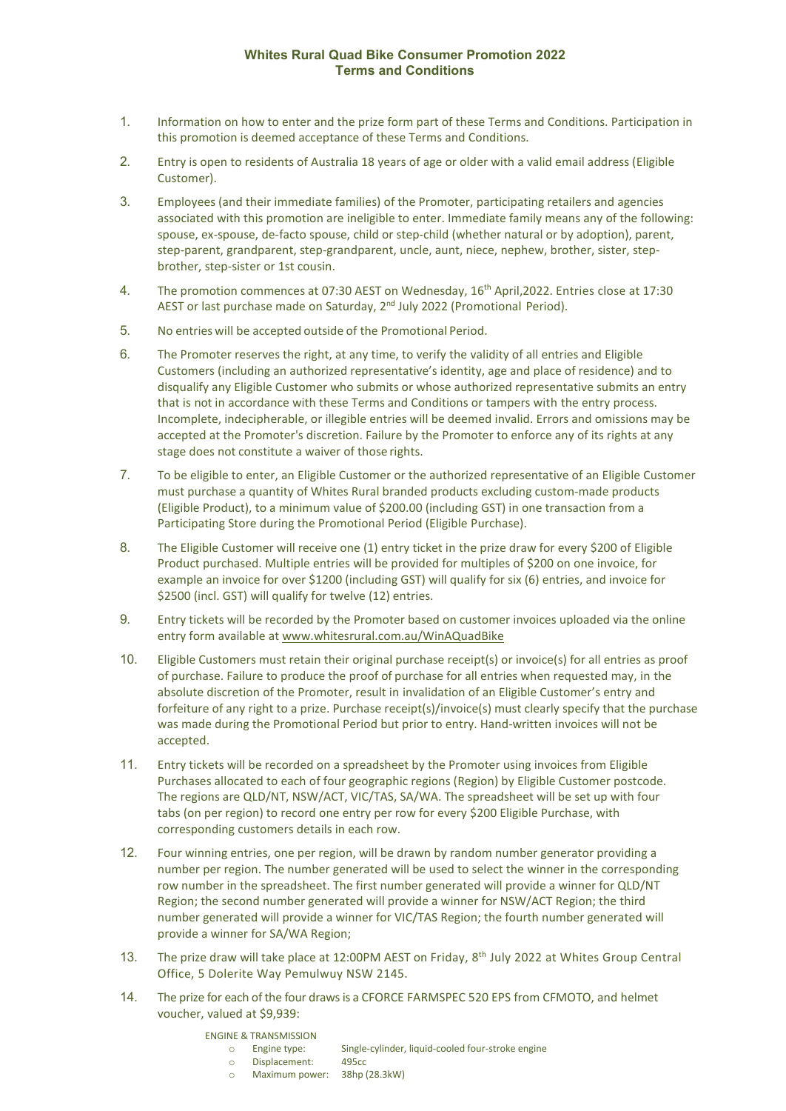## **Whites Rural Quad Bike Consumer Promotion 2022 Terms and Conditions**

- 1. Information on how to enter and the prize form part of these Terms and Conditions. Participation in this promotion is deemed acceptance of these Terms and Conditions.
- 2. Entry is open to residents of Australia 18 years of age or older with a valid email address (Eligible Customer).
- 3. Employees (and their immediate families) of the Promoter, participating retailers and agencies associated with this promotion are ineligible to enter. Immediate family means any of the following: spouse, ex-spouse, de-facto spouse, child or step-child (whether natural or by adoption), parent, step-parent, grandparent, step-grandparent, uncle, aunt, niece, nephew, brother, sister, stepbrother, step-sister or 1st cousin.
- 4. The promotion commences at 07:30 AEST on Wednesday, 16<sup>th</sup> April, 2022. Entries close at 17:30 AEST or last purchase made on Saturday, 2<sup>nd</sup> July 2022 (Promotional Period).
- 5. No entries will be accepted outside of the Promotional Period.
- 6. The Promoter reserves the right, at any time, to verify the validity of all entries and Eligible Customers (including an authorized representative's identity, age and place of residence) and to disqualify any Eligible Customer who submits or whose authorized representative submits an entry that is not in accordance with these Terms and Conditions or tampers with the entry process. Incomplete, indecipherable, or illegible entries will be deemed invalid. Errors and omissions may be accepted at the Promoter's discretion. Failure by the Promoter to enforce any of its rights at any stage does not constitute a waiver of those rights.
- 7. To be eligible to enter, an Eligible Customer or the authorized representative of an Eligible Customer must purchase a quantity of Whites Rural branded products excluding custom-made products (Eligible Product), to a minimum value of \$200.00 (including GST) in one transaction from a Participating Store during the Promotional Period (Eligible Purchase).
- 8. The Eligible Customer will receive one (1) entry ticket in the prize draw for every \$200 of Eligible Product purchased. Multiple entries will be provided for multiples of \$200 on one invoice, for example an invoice for over \$1200 (including GST) will qualify for six (6) entries, and invoice for \$2500 (incl. GST) will qualify for twelve (12) entries.
- 9. Entry tickets will be recorded by the Promoter based on customer invoices uploaded via the online entry form available at [www.whitesrural.com.au/WinAQuadBike](http://www.whitesrural.com.au/WinAQuadBike)
- 10. Eligible Customers must retain their original purchase receipt(s) or invoice(s) for all entries as proof of purchase. Failure to produce the proof of purchase for all entries when requested may, in the absolute discretion of the Promoter, result in invalidation of an Eligible Customer's entry and forfeiture of any right to a prize. Purchase receipt(s)/invoice(s) must clearly specify that the purchase was made during the Promotional Period but prior to entry. Hand-written invoices will not be accepted.
- 11. Entry tickets will be recorded on a spreadsheet by the Promoter using invoices from Eligible Purchases allocated to each of four geographic regions (Region) by Eligible Customer postcode. The regions are QLD/NT, NSW/ACT, VIC/TAS, SA/WA. The spreadsheet will be set up with four tabs (on per region) to record one entry per row for every \$200 Eligible Purchase, with corresponding customers details in each row.
- 12. Four winning entries, one per region, will be drawn by random number generator providing a number per region. The number generated will be used to select the winner in the corresponding row number in the spreadsheet. The first number generated will provide a winner for QLD/NT Region; the second number generated will provide a winner for NSW/ACT Region; the third number generated will provide a winner for VIC/TAS Region; the fourth number generated will provide a winner for SA/WA Region;
- 13. The prize draw will take place at 12:00PM AEST on Friday, 8th July 2022 at Whites Group Central Office, 5 Dolerite Way Pemulwuy NSW 2145.
- 14. The prize for each of the four draws is a CFORCE FARMSPEC 520 EPS from CFMOTO, and helmet voucher, valued at \$9,939:

## ENGINE & TRANSMISSION

- o Engine type: Single-cylinder, liquid-cooled four-stroke engine
- o Displacement:<br>
955 Maximum powe Maximum power: 38hp (28.3kW)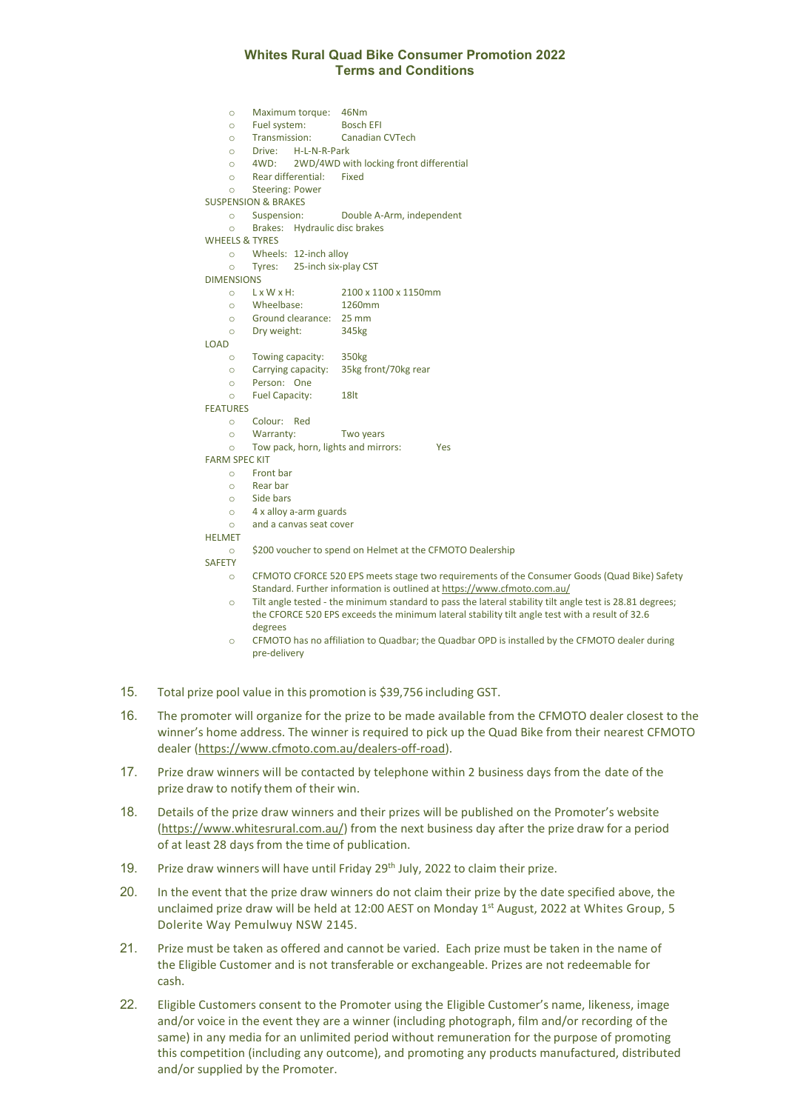## **Whites Rural Quad Bike Consumer Promotion 2022 Terms and Conditions**

o Maximum torque: 46Nm o Fuel system:<br>
o Transmission: Canadian CVTech o Drive: H-L-N-R-Park<br>o 4WD: 2WD/4WD wi  $\circ$  4WD: 2WD/4WD with locking front differential  $\circ$  Rear differential: Fixed Rear differential: Fixed o Steering: Power SUSPENSION & BRAKES<br>  $\circ$  Suspension: o Suspension: Double A-Arm, independent Brakes: Hydraulic disc brakes WHEELS & TYRES o Wheels: 12-inch alloy<br>
o Tyres: 25-inch six-p Tyres: 25-inch six-play CST  $DIMENSIONS$ <br>  $\circ$   $L \times W \times H$ : o L x W x H: 2100 x 1100 x 1150mm<br>
o Wheelbase: 1260mm o Wheelbase:<br>
1260 Mheelbase:<br>
1260 Ground clearance Ground clearance: 25 mm<br>Drv weight: 345kg o Dry weight: LOAD o Towing capacity: 350kg<br>o Carrying capacity: 35kg fr Carrying capacity: 35kg front/70kg rear o Person: One o Fuel Capacity: 18lt FEATURES o Colour: Red Warranty: Two years o Tow pack, horn, lights and mirrors: Yes FARM SPEC KIT o Front bar o Rear bar  $\circ$  Side bars  $\circ$  4 x alloy a-arm guards<br> $\circ$  and a canvas seat cove and a canvas seat cover HELMET o \$200 voucher to spend on Helmet at the CFMOTO Dealership SAFETY o CFMOTO CFORCE 520 EPS meets stage two requirements of the Consumer Goods (Quad Bike) Safety Standard. Further information is outlined a[t https://www.cfmoto.com.au/](https://www.cfmoto.com.au/) o Tilt angle tested - the minimum standard to pass the lateral stability tilt angle test is 28.81 degrees; the CFORCE 520 EPS exceeds the minimum lateral stability tilt angle test with a result of 32.6 degrees o CFMOTO has no affiliation to Quadbar; the Quadbar OPD is installed by the CFMOTO dealer during pre-delivery

- 15. Total prize pool value in this promotion is \$39,756 including GST.
- 16. The promoter will organize for the prize to be made available from the CFMOTO dealer closest to the winner's home address. The winner is required to pick up the Quad Bike from their nearest CFMOTO dealer [\(https://www.cfmoto.com.au/dealers-off-road\)](https://www.cfmoto.com.au/dealers-off-road).
- 17. Prize draw winners will be contacted by telephone within 2 business days from the date of the prize draw to notify them of their win.
- 18. Details of the prize draw winners and their prizes will be published on the Promoter's website [\(https://www.whitesrural.com.au/\)](https://www.whitesrural.com.au/) from the next business day after the prize draw for a period of at least 28 days from the time of publication.
- 19. Prize draw winners will have until Friday 29<sup>th</sup> July, 2022 to claim their prize.
- 20. In the event that the prize draw winners do not claim their prize by the date specified above, the unclaimed prize draw will be held at 12:00 AEST on Monday  $1<sup>st</sup>$  August, 2022 at Whites Group, 5 Dolerite Way Pemulwuy NSW 2145.
- 21. Prize must be taken as offered and cannot be varied. Each prize must be taken in the name of the Eligible Customer and is not transferable or exchangeable. Prizes are not redeemable for cash.
- 22. Eligible Customers consent to the Promoter using the Eligible Customer's name, likeness, image and/or voice in the event they are a winner (including photograph, film and/or recording of the same) in any media for an unlimited period without remuneration for the purpose of promoting this competition (including any outcome), and promoting any products manufactured, distributed and/or supplied by the Promoter.